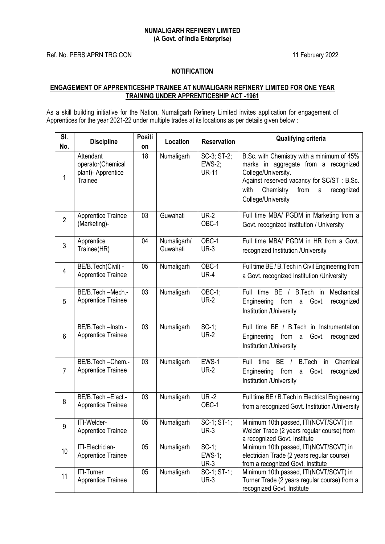## **NUMALIGARH REFINERY LIMITED (A Govt. of India Enterprise)**

Ref. No. PERS:APRN:TRG:CON 11 February 2022

## **NOTIFICATION**

## **ENGAGEMENT OF APPRENTICESHIP TRAINEE AT NUMALIGARH REFINERY LIMITED FOR ONE YEAR TRAINING UNDER APPRENTICESHIP ACT -1961**

As a skill building initiative for the Nation, Numaligarh Refinery Limited invites application for engagement of Apprentices for the year 2021-22 under multiple trades at its locations as per details given below :

| SI.<br>No.     | <b>Discipline</b>                                                      | <b>Positi</b><br>on | Location                | <b>Reservation</b>                           | <b>Qualifying criteria</b>                                                                                                                                                                                                   |
|----------------|------------------------------------------------------------------------|---------------------|-------------------------|----------------------------------------------|------------------------------------------------------------------------------------------------------------------------------------------------------------------------------------------------------------------------------|
| 1              | Attendant<br>operator(Chemical<br>plant)- Apprentice<br><b>Trainee</b> | 18                  | Numaligarh              | SC-3; ST-2;<br><b>EWS-2;</b><br><b>UR-11</b> | B.Sc. with Chemistry with a minimum of 45%<br>marks in aggregate from a recognized<br>College/University.<br>Against reserved vacancy for SC/ST: B.Sc.<br>Chemistry<br>with<br>from<br>recognized<br>a<br>College/University |
| $\overline{2}$ | <b>Apprentice Trainee</b><br>(Marketing)-                              | 03                  | Guwahati                | <b>UR-2</b><br>OBC-1                         | Full time MBA/ PGDM in Marketing from a<br>Govt. recognized Institution / University                                                                                                                                         |
| $\mathbf{3}$   | Apprentice<br>Trainee(HR)                                              | 04                  | Numaligarh/<br>Guwahati | OBC-1<br><b>UR-3</b>                         | Full time MBA/ PGDM in HR from a Govt.<br>recognized Institution / University                                                                                                                                                |
| $\overline{4}$ | BE/B.Tech(Civil) -<br>Apprentice Trainee                               | 05                  | Numaligarh              | OBC-1<br><b>UR-4</b>                         | Full time BE / B. Tech in Civil Engineering from<br>a Govt. recognized Institution /University                                                                                                                               |
| 5              | BE/B.Tech-Mech.-<br><b>Apprentice Trainee</b>                          | 03                  | Numaligarh              | OBC-1;<br><b>UR-2</b>                        | Full time BE /<br>B.Tech in<br>Mechanical<br>Engineering<br>from a<br>Govt.<br>recognized<br>Institution /University                                                                                                         |
| 6              | BE/B.Tech-Instn.-<br><b>Apprentice Trainee</b>                         | $\overline{03}$     | Numaligarh              | $SC-1$ ;<br><b>UR-2</b>                      | Full time BE / B.Tech in Instrumentation<br>Engineering<br>from a<br>Govt.<br>recognized<br>Institution /University                                                                                                          |
| $\overline{7}$ | BE/B.Tech-Chem.-<br><b>Apprentice Trainee</b>                          | 03                  | Numaligarh              | EWS-1<br><b>UR-2</b>                         | time<br>$BE$ /<br><b>B.Tech</b><br>$\overline{in}$<br>Chemical<br>Full<br>from a<br>Engineering<br>Govt.<br>recognized<br>Institution /University                                                                            |
| 8              | BE/B.Tech-Elect.-<br><b>Apprentice Trainee</b>                         | 03                  | Numaligarh              | $UR - 2$<br>OBC-1                            | Full time BE / B. Tech in Electrical Engineering<br>from a recognized Govt. Institution /University                                                                                                                          |
| 9              | ITI-Welder-<br><b>Apprentice Trainee</b>                               | 05                  | Numaligarh              | SC-1; ST-1;<br>$UR-3$                        | Minimum 10th passed, ITI(NCVT/SCVT) in<br>Welder Trade (2 years regular course) from<br>a recognized Govt. Institute                                                                                                         |
| 10             | ITI-Electrician-<br><b>Apprentice Trainee</b>                          | 05                  | Numaligarh              | $SC-1$ ;<br>$EWS-1$ ;<br><b>UR-3</b>         | Minimum 10th passed, ITI(NCVT/SCVT) in<br>electrician Trade (2 years regular course)<br>from a recognized Govt. Institute                                                                                                    |
| 11             | <b>ITI-Turner</b><br><b>Apprentice Trainee</b>                         | 05                  | Numaligarh              | SC-1; ST-1;<br><b>UR-3</b>                   | Minimum 10th passed, ITI(NCVT/SCVT) in<br>Turner Trade (2 years regular course) from a<br>recognized Govt. Institute                                                                                                         |